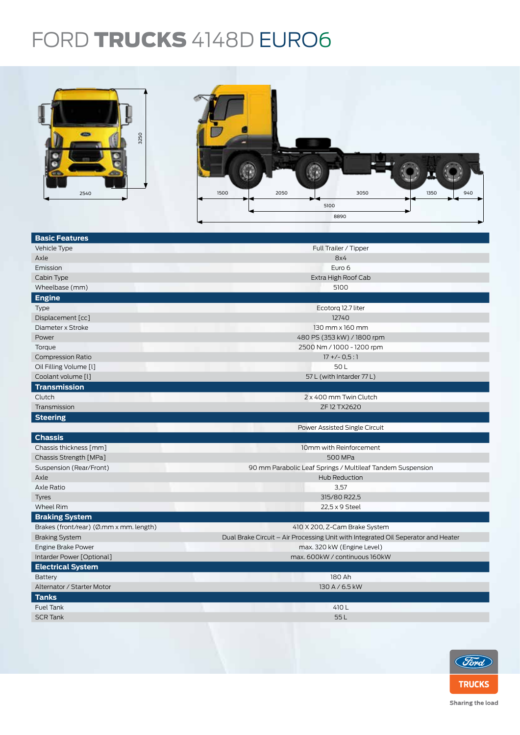## FORD TRUCKS 4148D EURO6



| 3250<br>2540                            | 2050<br>3050<br>1350<br>1500<br>940<br>5100<br>8890                               |  |  |  |  |
|-----------------------------------------|-----------------------------------------------------------------------------------|--|--|--|--|
| <b>Basic Features</b>                   |                                                                                   |  |  |  |  |
| Vehicle Type                            | Full Trailer / Tipper                                                             |  |  |  |  |
| Axle                                    | 8x4                                                                               |  |  |  |  |
| Emission                                | Euro 6                                                                            |  |  |  |  |
| Cabin Type                              | Extra High Roof Cab                                                               |  |  |  |  |
| Wheelbase (mm)                          | 5100                                                                              |  |  |  |  |
| <b>Engine</b>                           |                                                                                   |  |  |  |  |
| Type                                    | Ecotorg 12.7 liter                                                                |  |  |  |  |
| Displacement [cc]                       | 12740                                                                             |  |  |  |  |
| Diameter x Stroke                       | 130 mm x 160 mm                                                                   |  |  |  |  |
| Power                                   | 480 PS (353 kW) / 1800 rpm                                                        |  |  |  |  |
| Torque                                  | 2500 Nm / 1000 - 1200 rpm                                                         |  |  |  |  |
| <b>Compression Ratio</b>                | $17 + (-0.5:1)$                                                                   |  |  |  |  |
| Oil Filling Volume [l]                  | 50L                                                                               |  |  |  |  |
| Coolant volume [l]                      | 57 L (with Intarder 77 L)                                                         |  |  |  |  |
| <b>Transmission</b>                     |                                                                                   |  |  |  |  |
| Clutch                                  | 2 x 400 mm Twin Clutch                                                            |  |  |  |  |
| Transmission                            | ZF 12 TX2620                                                                      |  |  |  |  |
| <b>Steering</b>                         |                                                                                   |  |  |  |  |
|                                         | Power Assisted Single Circuit                                                     |  |  |  |  |
| <b>Chassis</b>                          |                                                                                   |  |  |  |  |
| Chassis thickness [mm]                  | 10mm with Reinforcement                                                           |  |  |  |  |
| Chassis Strength [MPa]                  | 500 MPa                                                                           |  |  |  |  |
| Suspension (Rear/Front)                 | 90 mm Parabolic Leaf Springs / Multileaf Tandem Suspension                        |  |  |  |  |
| Axle                                    | Hub Reduction                                                                     |  |  |  |  |
| Axle Ratio                              | 3,57                                                                              |  |  |  |  |
| Tyres                                   | 315/80 R22,5                                                                      |  |  |  |  |
| <b>Wheel Rim</b>                        | 22,5 x 9 Steel                                                                    |  |  |  |  |
| <b>Braking System</b>                   |                                                                                   |  |  |  |  |
| Brakes (front/rear) (Ø.mm x mm. length) | 410 X 200, Z-Cam Brake System                                                     |  |  |  |  |
| <b>Braking System</b>                   | Dual Brake Circuit - Air Processing Unit with Integrated Oil Seperator and Heater |  |  |  |  |
| Engine Brake Power                      | max. 320 kW (Engine Level)                                                        |  |  |  |  |
| Intarder Power [Optional]               | max. 600kW / continuous 160kW                                                     |  |  |  |  |
| <b>Electrical System</b>                |                                                                                   |  |  |  |  |
| Battery                                 | 180 Ah                                                                            |  |  |  |  |
| Alternator / Starter Motor              | 130 A / 6.5 kW                                                                    |  |  |  |  |
| <b>Tanks</b>                            |                                                                                   |  |  |  |  |
| Fuel Tank                               | 410L                                                                              |  |  |  |  |
| <b>SCR Tank</b>                         | 55L                                                                               |  |  |  |  |
|                                         |                                                                                   |  |  |  |  |

Sharing the load